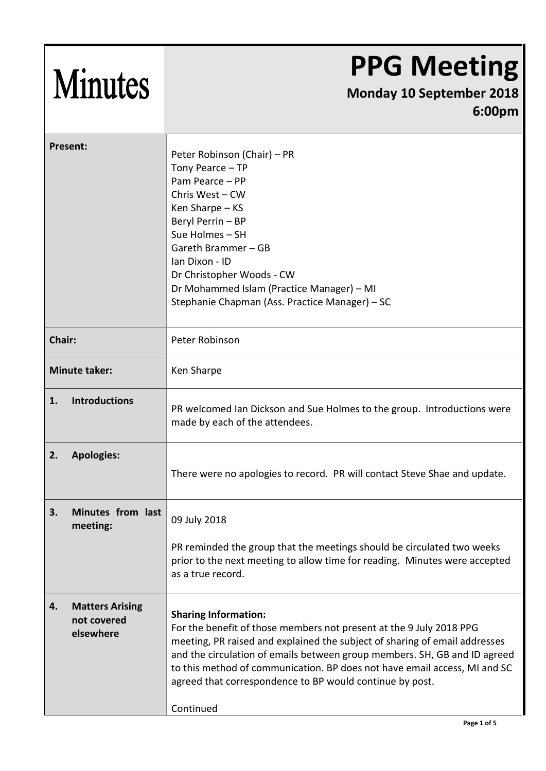| <b>Minutes</b>                                           | <b>PPG Meeting</b><br><b>Monday 10 September 2018</b><br>6:00pm                                                                                                                                                                                                                                                                                                                                                     |
|----------------------------------------------------------|---------------------------------------------------------------------------------------------------------------------------------------------------------------------------------------------------------------------------------------------------------------------------------------------------------------------------------------------------------------------------------------------------------------------|
| Present:                                                 | Peter Robinson (Chair) – PR<br>Tony Pearce - TP<br>Pam Pearce - PP<br>Chris West - CW<br>Ken Sharpe - KS<br>Beryl Perrin - BP<br>Sue Holmes - SH<br>Gareth Brammer - GB<br>Ian Dixon - ID<br>Dr Christopher Woods - CW<br>Dr Mohammed Islam (Practice Manager) - MI<br>Stephanie Chapman (Ass. Practice Manager) - SC                                                                                               |
| Chair:                                                   | Peter Robinson                                                                                                                                                                                                                                                                                                                                                                                                      |
| <b>Minute taker:</b>                                     | Ken Sharpe                                                                                                                                                                                                                                                                                                                                                                                                          |
| <b>Introductions</b><br>1.                               | PR welcomed Ian Dickson and Sue Holmes to the group. Introductions were<br>made by each of the attendees.                                                                                                                                                                                                                                                                                                           |
| 2.<br><b>Apologies:</b>                                  | There were no apologies to record. PR will contact Steve Shae and update.                                                                                                                                                                                                                                                                                                                                           |
| Minutes from last<br>3.<br>meeting:                      | 09 July 2018                                                                                                                                                                                                                                                                                                                                                                                                        |
|                                                          | PR reminded the group that the meetings should be circulated two weeks<br>prior to the next meeting to allow time for reading. Minutes were accepted<br>as a true record.                                                                                                                                                                                                                                           |
| <b>Matters Arising</b><br>4.<br>not covered<br>elsewhere | <b>Sharing Information:</b><br>For the benefit of those members not present at the 9 July 2018 PPG<br>meeting, PR raised and explained the subject of sharing of email addresses<br>and the circulation of emails between group members. SH, GB and ID agreed<br>to this method of communication. BP does not have email access, MI and SC<br>agreed that correspondence to BP would continue by post.<br>Continued |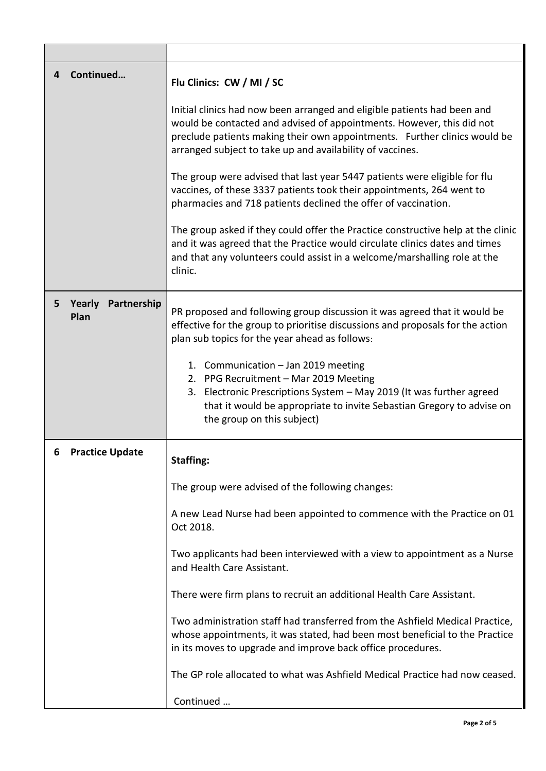| Continued<br>4                     | Flu Clinics: CW / MI / SC<br>Initial clinics had now been arranged and eligible patients had been and<br>would be contacted and advised of appointments. However, this did not<br>preclude patients making their own appointments. Further clinics would be<br>arranged subject to take up and availability of vaccines.<br>The group were advised that last year 5447 patients were eligible for flu<br>vaccines, of these 3337 patients took their appointments, 264 went to<br>pharmacies and 718 patients declined the offer of vaccination.<br>The group asked if they could offer the Practice constructive help at the clinic<br>and it was agreed that the Practice would circulate clinics dates and times<br>and that any volunteers could assist in a welcome/marshalling role at the<br>clinic. |
|------------------------------------|-------------------------------------------------------------------------------------------------------------------------------------------------------------------------------------------------------------------------------------------------------------------------------------------------------------------------------------------------------------------------------------------------------------------------------------------------------------------------------------------------------------------------------------------------------------------------------------------------------------------------------------------------------------------------------------------------------------------------------------------------------------------------------------------------------------|
| Yearly<br>Partnership<br>5<br>Plan | PR proposed and following group discussion it was agreed that it would be<br>effective for the group to prioritise discussions and proposals for the action<br>plan sub topics for the year ahead as follows:<br>1. Communication - Jan 2019 meeting<br>2. PPG Recruitment - Mar 2019 Meeting<br>3. Electronic Prescriptions System - May 2019 (It was further agreed<br>that it would be appropriate to invite Sebastian Gregory to advise on<br>the group on this subject)                                                                                                                                                                                                                                                                                                                                |
| <b>Practice Update</b><br>6        | <b>Staffing:</b><br>The group were advised of the following changes:<br>A new Lead Nurse had been appointed to commence with the Practice on 01<br>Oct 2018.<br>Two applicants had been interviewed with a view to appointment as a Nurse<br>and Health Care Assistant.<br>There were firm plans to recruit an additional Health Care Assistant.<br>Two administration staff had transferred from the Ashfield Medical Practice,<br>whose appointments, it was stated, had been most beneficial to the Practice<br>in its moves to upgrade and improve back office procedures.<br>The GP role allocated to what was Ashfield Medical Practice had now ceased.<br>Continued                                                                                                                                  |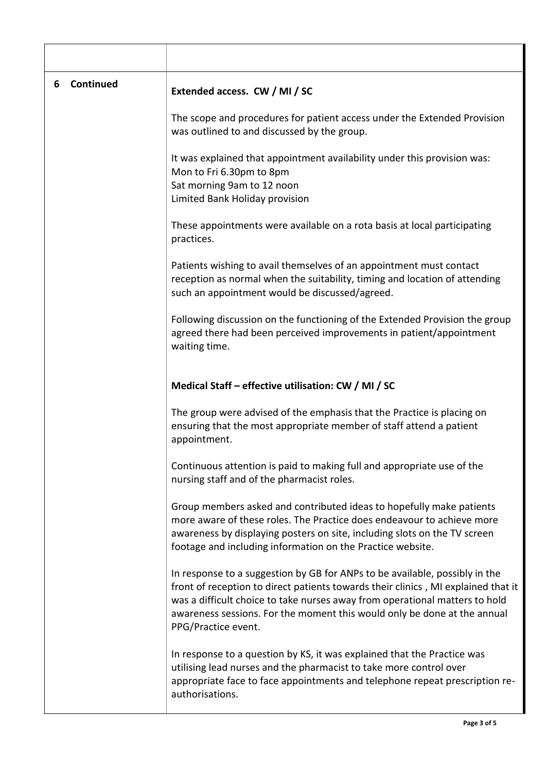| 6 | Continued | Extended access. CW / MI / SC                                                                                                                                                                                                                                                                                                                      |
|---|-----------|----------------------------------------------------------------------------------------------------------------------------------------------------------------------------------------------------------------------------------------------------------------------------------------------------------------------------------------------------|
|   |           | The scope and procedures for patient access under the Extended Provision<br>was outlined to and discussed by the group.                                                                                                                                                                                                                            |
|   |           | It was explained that appointment availability under this provision was:<br>Mon to Fri 6.30pm to 8pm<br>Sat morning 9am to 12 noon<br>Limited Bank Holiday provision                                                                                                                                                                               |
|   |           | These appointments were available on a rota basis at local participating<br>practices.                                                                                                                                                                                                                                                             |
|   |           | Patients wishing to avail themselves of an appointment must contact<br>reception as normal when the suitability, timing and location of attending<br>such an appointment would be discussed/agreed.                                                                                                                                                |
|   |           | Following discussion on the functioning of the Extended Provision the group<br>agreed there had been perceived improvements in patient/appointment<br>waiting time.                                                                                                                                                                                |
|   |           | Medical Staff – effective utilisation: CW / MI / SC                                                                                                                                                                                                                                                                                                |
|   |           | The group were advised of the emphasis that the Practice is placing on<br>ensuring that the most appropriate member of staff attend a patient<br>appointment.                                                                                                                                                                                      |
|   |           | Continuous attention is paid to making full and appropriate use of the<br>nursing staff and of the pharmacist roles.                                                                                                                                                                                                                               |
|   |           | Group members asked and contributed ideas to hopefully make patients<br>more aware of these roles. The Practice does endeavour to achieve more<br>awareness by displaying posters on site, including slots on the TV screen<br>footage and including information on the Practice website.                                                          |
|   |           | In response to a suggestion by GB for ANPs to be available, possibly in the<br>front of reception to direct patients towards their clinics, MI explained that it<br>was a difficult choice to take nurses away from operational matters to hold<br>awareness sessions. For the moment this would only be done at the annual<br>PPG/Practice event. |
|   |           | In response to a question by KS, it was explained that the Practice was<br>utilising lead nurses and the pharmacist to take more control over<br>appropriate face to face appointments and telephone repeat prescription re-<br>authorisations.                                                                                                    |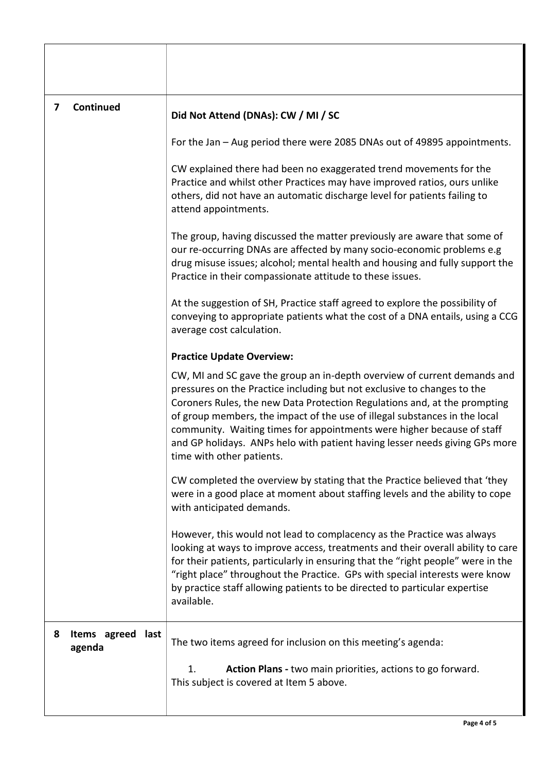| $\overline{ }$ | Continued                      | Did Not Attend (DNAs): CW / MI / SC                                                                                                                                                                                                                                                                                                                                                                                                                                                                  |
|----------------|--------------------------------|------------------------------------------------------------------------------------------------------------------------------------------------------------------------------------------------------------------------------------------------------------------------------------------------------------------------------------------------------------------------------------------------------------------------------------------------------------------------------------------------------|
|                |                                | For the Jan – Aug period there were 2085 DNAs out of 49895 appointments.                                                                                                                                                                                                                                                                                                                                                                                                                             |
|                |                                | CW explained there had been no exaggerated trend movements for the<br>Practice and whilst other Practices may have improved ratios, ours unlike<br>others, did not have an automatic discharge level for patients failing to<br>attend appointments.                                                                                                                                                                                                                                                 |
|                |                                | The group, having discussed the matter previously are aware that some of<br>our re-occurring DNAs are affected by many socio-economic problems e.g<br>drug misuse issues; alcohol; mental health and housing and fully support the<br>Practice in their compassionate attitude to these issues.                                                                                                                                                                                                      |
|                |                                | At the suggestion of SH, Practice staff agreed to explore the possibility of<br>conveying to appropriate patients what the cost of a DNA entails, using a CCG<br>average cost calculation.                                                                                                                                                                                                                                                                                                           |
|                |                                | <b>Practice Update Overview:</b>                                                                                                                                                                                                                                                                                                                                                                                                                                                                     |
|                |                                | CW, MI and SC gave the group an in-depth overview of current demands and<br>pressures on the Practice including but not exclusive to changes to the<br>Coroners Rules, the new Data Protection Regulations and, at the prompting<br>of group members, the impact of the use of illegal substances in the local<br>community. Waiting times for appointments were higher because of staff<br>and GP holidays. ANPs helo with patient having lesser needs giving GPs more<br>time with other patients. |
|                |                                | CW completed the overview by stating that the Practice believed that 'they<br>were in a good place at moment about staffing levels and the ability to cope<br>with anticipated demands.                                                                                                                                                                                                                                                                                                              |
|                |                                | However, this would not lead to complacency as the Practice was always<br>looking at ways to improve access, treatments and their overall ability to care<br>for their patients, particularly in ensuring that the "right people" were in the<br>"right place" throughout the Practice. GPs with special interests were know<br>by practice staff allowing patients to be directed to particular expertise<br>available.                                                                             |
| 8              | Items agreed<br>last<br>agenda | The two items agreed for inclusion on this meeting's agenda:                                                                                                                                                                                                                                                                                                                                                                                                                                         |
|                |                                | Action Plans - two main priorities, actions to go forward.<br>1.<br>This subject is covered at Item 5 above.                                                                                                                                                                                                                                                                                                                                                                                         |